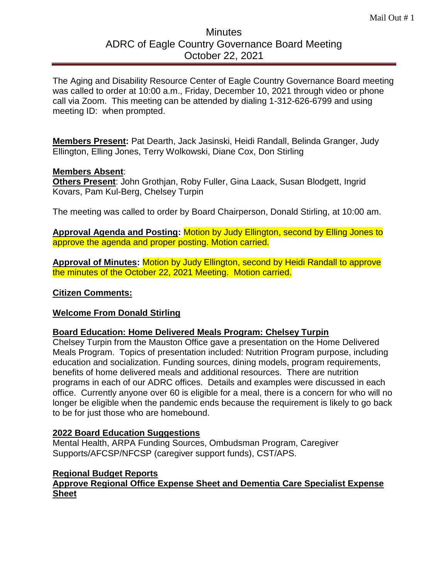# **Minutes** ADRC of Eagle Country Governance Board Meeting October 22, 2021

The Aging and Disability Resource Center of Eagle Country Governance Board meeting was called to order at 10:00 a.m., Friday, December 10, 2021 through video or phone call via Zoom. This meeting can be attended by dialing 1-312-626-6799 and using meeting ID: when prompted.

**Members Present:** Pat Dearth, Jack Jasinski, Heidi Randall, Belinda Granger, Judy Ellington, Elling Jones, Terry Wolkowski, Diane Cox, Don Stirling

### **Members Absent**:

**Others Present**: John Grothjan, Roby Fuller, Gina Laack, Susan Blodgett, Ingrid Kovars, Pam Kul-Berg, Chelsey Turpin

The meeting was called to order by Board Chairperson, Donald Stirling, at 10:00 am.

**Approval Agenda and Posting:** Motion by Judy Ellington, second by Elling Jones to approve the agenda and proper posting. Motion carried.

**Approval of Minutes:** Motion by Judy Ellington, second by Heidi Randall to approve the minutes of the October 22, 2021 Meeting. Motion carried.

### **Citizen Comments:**

# **Welcome From Donald Stirling**

#### **Board Education: Home Delivered Meals Program: Chelsey Turpin**

Chelsey Turpin from the Mauston Office gave a presentation on the Home Delivered Meals Program. Topics of presentation included: Nutrition Program purpose, including education and socialization. Funding sources, dining models, program requirements, benefits of home delivered meals and additional resources. There are nutrition programs in each of our ADRC offices. Details and examples were discussed in each office. Currently anyone over 60 is eligible for a meal, there is a concern for who will no longer be eligible when the pandemic ends because the requirement is likely to go back to be for just those who are homebound.

#### **2022 Board Education Suggestions**

Mental Health, ARPA Funding Sources, Ombudsman Program, Caregiver Supports/AFCSP/NFCSP (caregiver support funds), CST/APS.

# **Regional Budget Reports**

### **Approve Regional Office Expense Sheet and Dementia Care Specialist Expense Sheet**